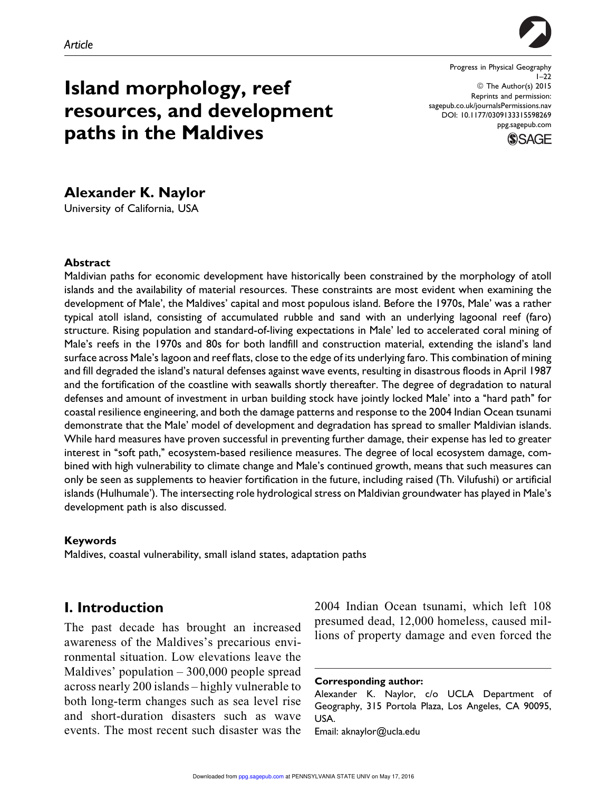

Progress in Physical Geography  $1 - 22$ © The Author(s) 2015 Reprints and permission: sagepub.co.uk/journalsPermissions.nav DOI: 10.1177/0309133315598269 ppg.sagepub.com



# Island morphology, reef resources, and development paths in the Maldives

# Alexander K. Naylor

University of California, USA

#### Abstract

Maldivian paths for economic development have historically been constrained by the morphology of atoll islands and the availability of material resources. These constraints are most evident when examining the development of Male', the Maldives' capital and most populous island. Before the 1970s, Male' was a rather typical atoll island, consisting of accumulated rubble and sand with an underlying lagoonal reef (faro) structure. Rising population and standard-of-living expectations in Male' led to accelerated coral mining of Male's reefs in the 1970s and 80s for both landfill and construction material, extending the island's land surface across Male's lagoon and reef flats, close to the edge of its underlying faro. This combination of mining and fill degraded the island's natural defenses against wave events, resulting in disastrous floods in April 1987 and the fortification of the coastline with seawalls shortly thereafter. The degree of degradation to natural defenses and amount of investment in urban building stock have jointly locked Male' into a ''hard path'' for coastal resilience engineering, and both the damage patterns and response to the 2004 Indian Ocean tsunami demonstrate that the Male' model of development and degradation has spread to smaller Maldivian islands. While hard measures have proven successful in preventing further damage, their expense has led to greater interest in "soft path," ecosystem-based resilience measures. The degree of local ecosystem damage, combined with high vulnerability to climate change and Male's continued growth, means that such measures can only be seen as supplements to heavier fortification in the future, including raised (Th. Vilufushi) or artificial islands (Hulhumale'). The intersecting role hydrological stress on Maldivian groundwater has played in Male's development path is also discussed.

#### Keywords

Maldives, coastal vulnerability, small island states, adaptation paths

### I. Introduction

The past decade has brought an increased awareness of the Maldives's precarious environmental situation. Low elevations leave the Maldives' population – 300,000 people spread across nearly 200 islands – highly vulnerable to both long-term changes such as sea level rise and short-duration disasters such as wave events. The most recent such disaster was the 2004 Indian Ocean tsunami, which left 108 presumed dead, 12,000 homeless, caused millions of property damage and even forced the

Corresponding author:

Alexander K. Naylor, c/o UCLA Department of Geography, 315 Portola Plaza, Los Angeles, CA 90095, USA.

Email: aknaylor@ucla.edu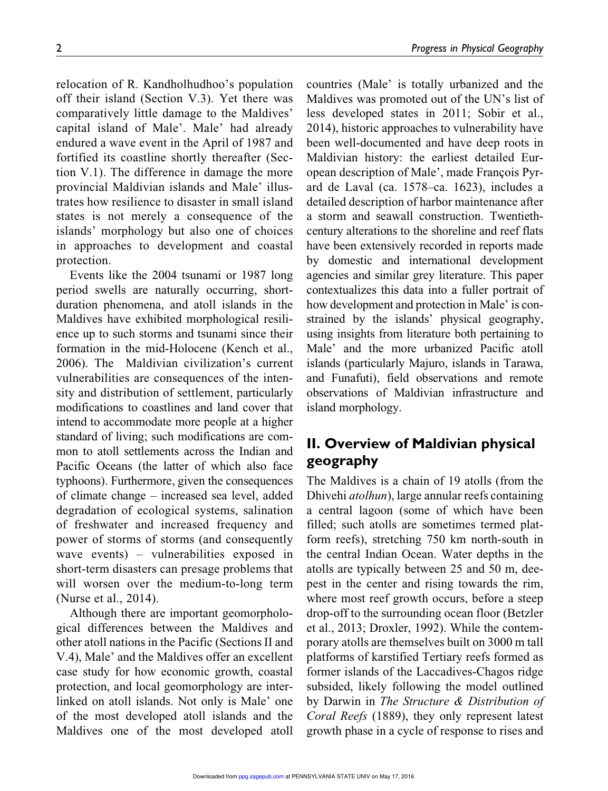relocation of R. Kandholhudhoo's population off their island (Section V.3). Yet there was comparatively little damage to the Maldives' capital island of Male'. Male' had already endured a wave event in the April of 1987 and fortified its coastline shortly thereafter (Section V.1). The difference in damage the more provincial Maldivian islands and Male' illustrates how resilience to disaster in small island states is not merely a consequence of the islands' morphology but also one of choices in approaches to development and coastal protection.

Events like the 2004 tsunami or 1987 long period swells are naturally occurring, shortduration phenomena, and atoll islands in the Maldives have exhibited morphological resilience up to such storms and tsunami since their formation in the mid-Holocene (Kench et al., 2006). The Maldivian civilization's current vulnerabilities are consequences of the intensity and distribution of settlement, particularly modifications to coastlines and land cover that intend to accommodate more people at a higher standard of living; such modifications are common to atoll settlements across the Indian and Pacific Oceans (the latter of which also face typhoons). Furthermore, given the consequences of climate change – increased sea level, added degradation of ecological systems, salination of freshwater and increased frequency and power of storms of storms (and consequently wave events) – vulnerabilities exposed in short-term disasters can presage problems that will worsen over the medium-to-long term (Nurse et al., 2014).

Although there are important geomorphological differences between the Maldives and other atoll nations in the Pacific (Sections II and V.4), Male' and the Maldives offer an excellent case study for how economic growth, coastal protection, and local geomorphology are interlinked on atoll islands. Not only is Male' one of the most developed atoll islands and the Maldives one of the most developed atoll

countries (Male' is totally urbanized and the Maldives was promoted out of the UN's list of less developed states in 2011; Sobir et al., 2014), historic approaches to vulnerability have been well-documented and have deep roots in Maldivian history: the earliest detailed European description of Male', made François Pyrard de Laval (ca. 1578–ca. 1623), includes a detailed description of harbor maintenance after a storm and seawall construction. Twentiethcentury alterations to the shoreline and reef flats have been extensively recorded in reports made by domestic and international development agencies and similar grey literature. This paper contextualizes this data into a fuller portrait of how development and protection in Male' is constrained by the islands' physical geography, using insights from literature both pertaining to Male' and the more urbanized Pacific atoll islands (particularly Majuro, islands in Tarawa, and Funafuti), field observations and remote observations of Maldivian infrastructure and island morphology.

### II. Overview of Maldivian physical geography

The Maldives is a chain of 19 atolls (from the Dhivehi *atolhun*), large annular reefs containing a central lagoon (some of which have been filled; such atolls are sometimes termed platform reefs), stretching 750 km north-south in the central Indian Ocean. Water depths in the atolls are typically between 25 and 50 m, deepest in the center and rising towards the rim, where most reef growth occurs, before a steep drop-off to the surrounding ocean floor (Betzler et al., 2013; Droxler, 1992). While the contemporary atolls are themselves built on 3000 m tall platforms of karstified Tertiary reefs formed as former islands of the Laccadives-Chagos ridge subsided, likely following the model outlined by Darwin in *The Structure & Distribution of Coral Reefs* (1889), they only represent latest growth phase in a cycle of response to rises and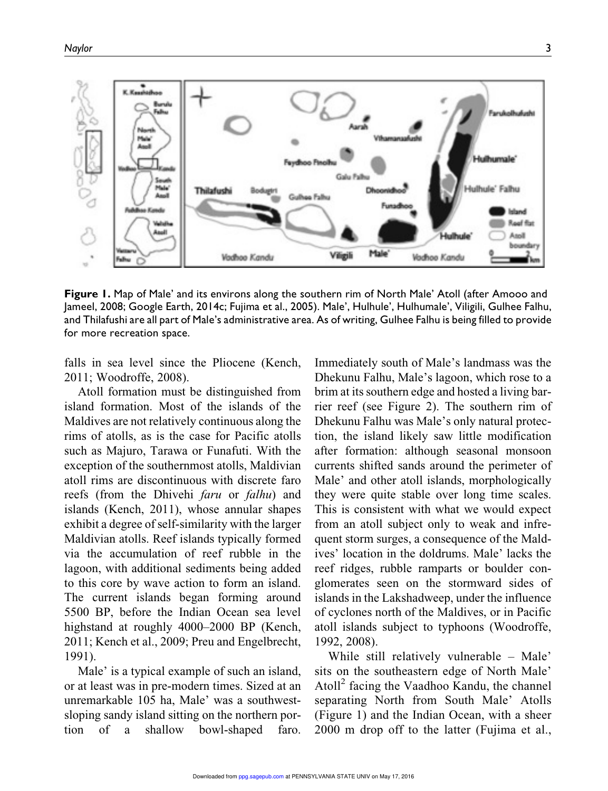

Figure 1. Map of Male' and its environs along the southern rim of North Male' Atoll (after Amooo and Jameel, 2008; Google Earth, 2014c; Fujima et al., 2005). Male', Hulhule', Hulhumale', Viligili, Gulhee Falhu, and Thilafushi are all part of Male's administrative area. As of writing, Gulhee Falhu is being filled to provide for more recreation space.

falls in sea level since the Pliocene (Kench, 2011; Woodroffe, 2008).

Atoll formation must be distinguished from island formation. Most of the islands of the Maldives are not relatively continuous along the rims of atolls, as is the case for Pacific atolls such as Majuro, Tarawa or Funafuti. With the exception of the southernmost atolls, Maldivian atoll rims are discontinuous with discrete faro reefs (from the Dhivehi *faru* or *falhu*) and islands (Kench, 2011), whose annular shapes exhibit a degree of self-similarity with the larger Maldivian atolls. Reef islands typically formed via the accumulation of reef rubble in the lagoon, with additional sediments being added to this core by wave action to form an island. The current islands began forming around 5500 BP, before the Indian Ocean sea level highstand at roughly 4000–2000 BP (Kench, 2011; Kench et al., 2009; Preu and Engelbrecht, 1991).

Male' is a typical example of such an island, or at least was in pre-modern times. Sized at an unremarkable 105 ha, Male' was a southwestsloping sandy island sitting on the northern portion of a shallow bowl-shaped faro. Immediately south of Male's landmass was the Dhekunu Falhu, Male's lagoon, which rose to a brim at its southern edge and hosted a living barrier reef (see Figure 2). The southern rim of Dhekunu Falhu was Male's only natural protection, the island likely saw little modification after formation: although seasonal monsoon currents shifted sands around the perimeter of Male' and other atoll islands, morphologically they were quite stable over long time scales. This is consistent with what we would expect from an atoll subject only to weak and infrequent storm surges, a consequence of the Maldives' location in the doldrums. Male' lacks the reef ridges, rubble ramparts or boulder conglomerates seen on the stormward sides of islands in the Lakshadweep, under the influence of cyclones north of the Maldives, or in Pacific atoll islands subject to typhoons (Woodroffe, 1992, 2008).

While still relatively vulnerable – Male' sits on the southeastern edge of North Male' Atoll<sup>2</sup> facing the Vaadhoo Kandu, the channel separating North from South Male' Atolls (Figure 1) and the Indian Ocean, with a sheer 2000 m drop off to the latter (Fujima et al.,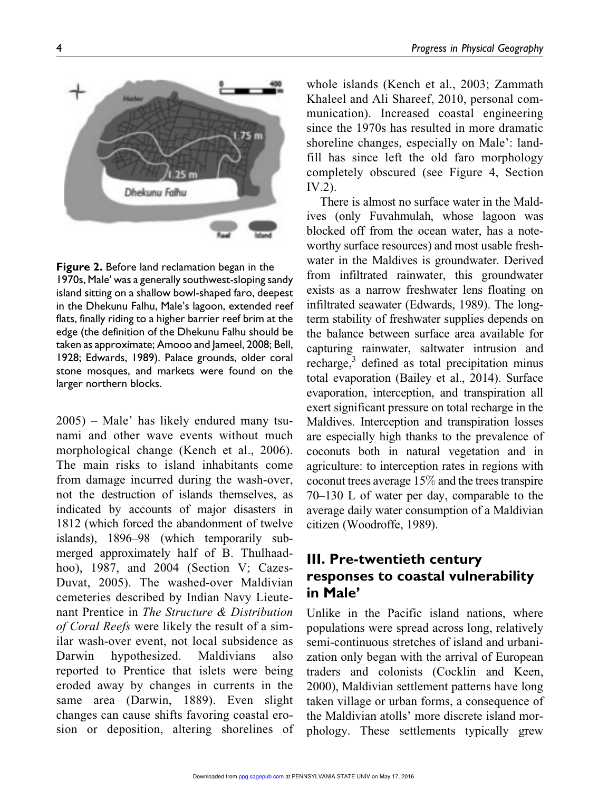

Figure 2. Before land reclamation began in the 1970s, Male' was a generally southwest-sloping sandy island sitting on a shallow bowl-shaped faro, deepest in the Dhekunu Falhu, Male's lagoon, extended reef flats, finally riding to a higher barrier reef brim at the edge (the definition of the Dhekunu Falhu should be taken as approximate; Amooo and Jameel, 2008; Bell, 1928; Edwards, 1989). Palace grounds, older coral stone mosques, and markets were found on the larger northern blocks.

2005) – Male' has likely endured many tsunami and other wave events without much morphological change (Kench et al., 2006). The main risks to island inhabitants come from damage incurred during the wash-over, not the destruction of islands themselves, as indicated by accounts of major disasters in 1812 (which forced the abandonment of twelve islands), 1896–98 (which temporarily submerged approximately half of B. Thulhaadhoo), 1987, and 2004 (Section V; Cazes-Duvat, 2005). The washed-over Maldivian cemeteries described by Indian Navy Lieutenant Prentice in *The Structure & Distribution of Coral Reefs* were likely the result of a similar wash-over event, not local subsidence as Darwin hypothesized. Maldivians also reported to Prentice that islets were being eroded away by changes in currents in the same area (Darwin, 1889). Even slight changes can cause shifts favoring coastal erosion or deposition, altering shorelines of whole islands (Kench et al., 2003; Zammath Khaleel and Ali Shareef, 2010, personal communication). Increased coastal engineering since the 1970s has resulted in more dramatic shoreline changes, especially on Male': landfill has since left the old faro morphology completely obscured (see Figure 4, Section IV.2).

There is almost no surface water in the Maldives (only Fuvahmulah, whose lagoon was blocked off from the ocean water, has a noteworthy surface resources) and most usable freshwater in the Maldives is groundwater. Derived from infiltrated rainwater, this groundwater exists as a narrow freshwater lens floating on infiltrated seawater (Edwards, 1989). The longterm stability of freshwater supplies depends on the balance between surface area available for capturing rainwater, saltwater intrusion and recharge,<sup>3</sup> defined as total precipitation minus total evaporation (Bailey et al., 2014). Surface evaporation, interception, and transpiration all exert significant pressure on total recharge in the Maldives. Interception and transpiration losses are especially high thanks to the prevalence of coconuts both in natural vegetation and in agriculture: to interception rates in regions with coconut trees average 15% and the trees transpire 70–130 L of water per day, comparable to the average daily water consumption of a Maldivian citizen (Woodroffe, 1989).

# III. Pre-twentieth century responses to coastal vulnerability in Male'

Unlike in the Pacific island nations, where populations were spread across long, relatively semi-continuous stretches of island and urbanization only began with the arrival of European traders and colonists (Cocklin and Keen, 2000), Maldivian settlement patterns have long taken village or urban forms, a consequence of the Maldivian atolls' more discrete island morphology. These settlements typically grew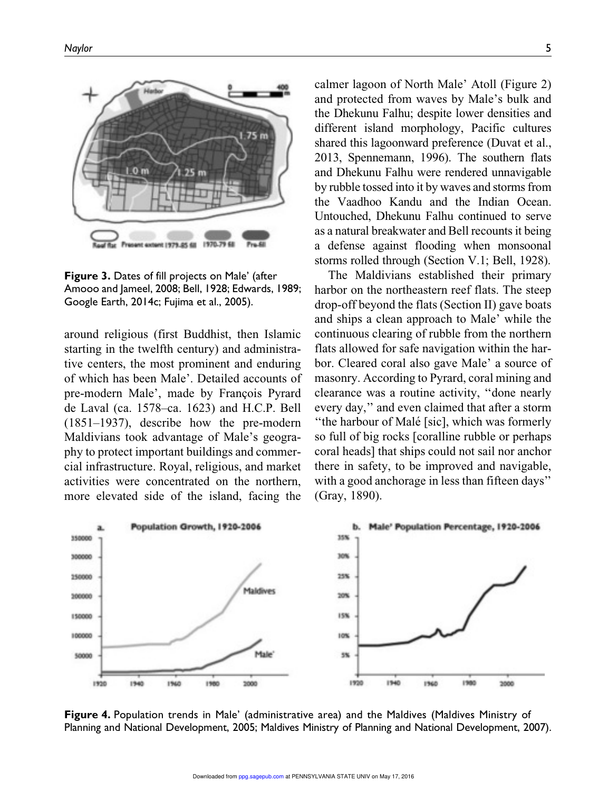

Figure 3. Dates of fill projects on Male' (after Amooo and Jameel, 2008; Bell, 1928; Edwards, 1989; Google Earth, 2014c; Fujima et al., 2005).

around religious (first Buddhist, then Islamic starting in the twelfth century) and administrative centers, the most prominent and enduring of which has been Male'. Detailed accounts of pre-modern Male', made by François Pyrard de Laval (ca. 1578–ca. 1623) and H.C.P. Bell (1851–1937), describe how the pre-modern Maldivians took advantage of Male's geography to protect important buildings and commercial infrastructure. Royal, religious, and market activities were concentrated on the northern, more elevated side of the island, facing the calmer lagoon of North Male' Atoll (Figure 2) and protected from waves by Male's bulk and the Dhekunu Falhu; despite lower densities and different island morphology, Pacific cultures shared this lagoonward preference (Duvat et al., 2013, Spennemann, 1996). The southern flats and Dhekunu Falhu were rendered unnavigable by rubble tossed into it by waves and storms from the Vaadhoo Kandu and the Indian Ocean. Untouched, Dhekunu Falhu continued to serve as a natural breakwater and Bell recounts it being a defense against flooding when monsoonal storms rolled through (Section V.1; Bell, 1928).

The Maldivians established their primary harbor on the northeastern reef flats. The steep drop-off beyond the flats (Section II) gave boats and ships a clean approach to Male' while the continuous clearing of rubble from the northern flats allowed for safe navigation within the harbor. Cleared coral also gave Male' a source of masonry. According to Pyrard, coral mining and clearance was a routine activity, ''done nearly every day,'' and even claimed that after a storm "the harbour of Malé [sic], which was formerly so full of big rocks [coralline rubble or perhaps coral heads] that ships could not sail nor anchor there in safety, to be improved and navigable, with a good anchorage in less than fifteen days'' (Gray, 1890).



Figure 4. Population trends in Male' (administrative area) and the Maldives (Maldives Ministry of Planning and National Development, 2005; Maldives Ministry of Planning and National Development, 2007).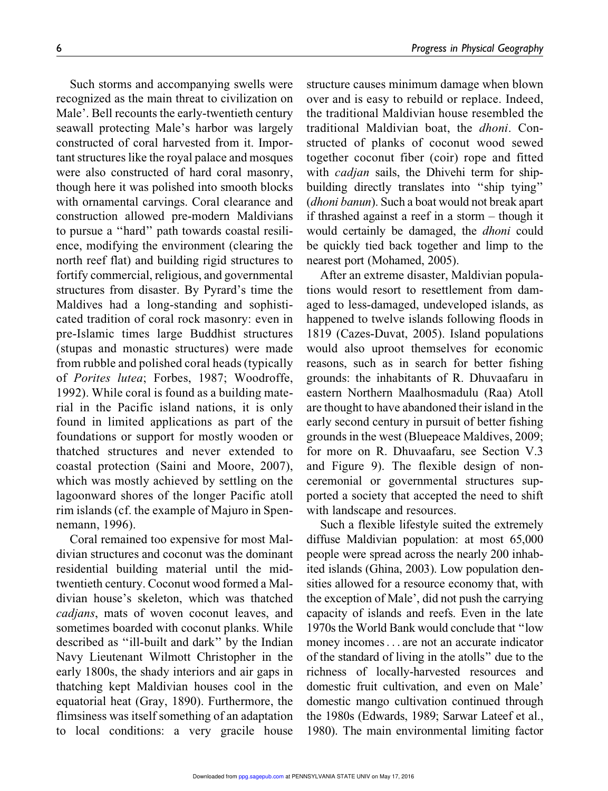Such storms and accompanying swells were recognized as the main threat to civilization on Male'. Bell recounts the early-twentieth century seawall protecting Male's harbor was largely constructed of coral harvested from it. Important structures like the royal palace and mosques were also constructed of hard coral masonry, though here it was polished into smooth blocks with ornamental carvings. Coral clearance and construction allowed pre-modern Maldivians to pursue a ''hard'' path towards coastal resilience, modifying the environment (clearing the north reef flat) and building rigid structures to fortify commercial, religious, and governmental structures from disaster. By Pyrard's time the Maldives had a long-standing and sophisticated tradition of coral rock masonry: even in pre-Islamic times large Buddhist structures (stupas and monastic structures) were made from rubble and polished coral heads (typically of *Porites lutea*; Forbes, 1987; Woodroffe, 1992). While coral is found as a building material in the Pacific island nations, it is only found in limited applications as part of the foundations or support for mostly wooden or thatched structures and never extended to coastal protection (Saini and Moore, 2007), which was mostly achieved by settling on the lagoonward shores of the longer Pacific atoll rim islands (cf. the example of Majuro in Spennemann, 1996).

Coral remained too expensive for most Maldivian structures and coconut was the dominant residential building material until the midtwentieth century. Coconut wood formed a Maldivian house's skeleton, which was thatched *cadjans*, mats of woven coconut leaves, and sometimes boarded with coconut planks. While described as ''ill-built and dark'' by the Indian Navy Lieutenant Wilmott Christopher in the early 1800s, the shady interiors and air gaps in thatching kept Maldivian houses cool in the equatorial heat (Gray, 1890). Furthermore, the flimsiness was itself something of an adaptation to local conditions: a very gracile house

structure causes minimum damage when blown over and is easy to rebuild or replace. Indeed, the traditional Maldivian house resembled the traditional Maldivian boat, the *dhoni*. Constructed of planks of coconut wood sewed together coconut fiber (coir) rope and fitted with *cadjan* sails, the Dhivehi term for shipbuilding directly translates into ''ship tying'' (*dhoni banun*). Such a boat would not break apart if thrashed against a reef in a storm – though it would certainly be damaged, the *dhoni* could be quickly tied back together and limp to the nearest port (Mohamed, 2005).

After an extreme disaster, Maldivian populations would resort to resettlement from damaged to less-damaged, undeveloped islands, as happened to twelve islands following floods in 1819 (Cazes-Duvat, 2005). Island populations would also uproot themselves for economic reasons, such as in search for better fishing grounds: the inhabitants of R. Dhuvaafaru in eastern Northern Maalhosmadulu (Raa) Atoll are thought to have abandoned their island in the early second century in pursuit of better fishing grounds in the west (Bluepeace Maldives, 2009; for more on R. Dhuvaafaru, see Section V.3 and Figure 9). The flexible design of nonceremonial or governmental structures supported a society that accepted the need to shift with landscape and resources.

Such a flexible lifestyle suited the extremely diffuse Maldivian population: at most 65,000 people were spread across the nearly 200 inhabited islands (Ghina, 2003). Low population densities allowed for a resource economy that, with the exception of Male', did not push the carrying capacity of islands and reefs. Even in the late 1970s the World Bank would conclude that ''low money incomes... are not an accurate indicator of the standard of living in the atolls'' due to the richness of locally-harvested resources and domestic fruit cultivation, and even on Male' domestic mango cultivation continued through the 1980s (Edwards, 1989; Sarwar Lateef et al., 1980). The main environmental limiting factor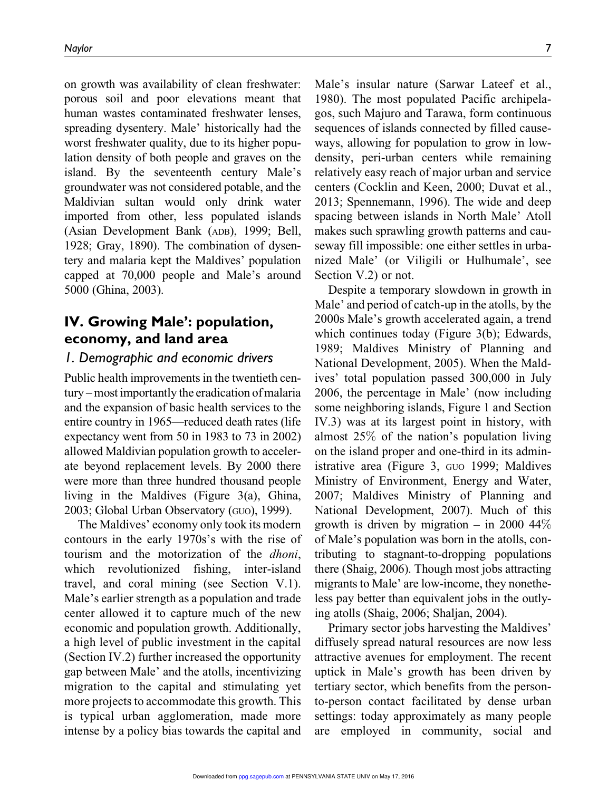on growth was availability of clean freshwater: porous soil and poor elevations meant that human wastes contaminated freshwater lenses, spreading dysentery. Male' historically had the worst freshwater quality, due to its higher population density of both people and graves on the island. By the seventeenth century Male's groundwater was not considered potable, and the Maldivian sultan would only drink water imported from other, less populated islands (Asian Development Bank (ADB), 1999; Bell, 1928; Gray, 1890). The combination of dysentery and malaria kept the Maldives' population capped at 70,000 people and Male's around 5000 (Ghina, 2003).

### IV. Growing Male': population, economy, and land area

#### *1. Demographic and economic drivers*

Public health improvements in the twentieth century – most importantly the eradication of malaria and the expansion of basic health services to the entire country in 1965—reduced death rates (life expectancy went from 50 in 1983 to 73 in 2002) allowed Maldivian population growth to accelerate beyond replacement levels. By 2000 there were more than three hundred thousand people living in the Maldives (Figure 3(a), Ghina, 2003; Global Urban Observatory (GUO), 1999).

The Maldives' economy only took its modern contours in the early 1970s's with the rise of tourism and the motorization of the *dhoni*, which revolutionized fishing, inter-island travel, and coral mining (see Section V.1). Male's earlier strength as a population and trade center allowed it to capture much of the new economic and population growth. Additionally, a high level of public investment in the capital (Section IV.2) further increased the opportunity gap between Male' and the atolls, incentivizing migration to the capital and stimulating yet more projects to accommodate this growth. This is typical urban agglomeration, made more intense by a policy bias towards the capital and Male's insular nature (Sarwar Lateef et al., 1980). The most populated Pacific archipelagos, such Majuro and Tarawa, form continuous sequences of islands connected by filled causeways, allowing for population to grow in lowdensity, peri-urban centers while remaining relatively easy reach of major urban and service centers (Cocklin and Keen, 2000; Duvat et al., 2013; Spennemann, 1996). The wide and deep spacing between islands in North Male' Atoll makes such sprawling growth patterns and causeway fill impossible: one either settles in urbanized Male' (or Viligili or Hulhumale', see Section V.2) or not.

Despite a temporary slowdown in growth in Male' and period of catch-up in the atolls, by the 2000s Male's growth accelerated again, a trend which continues today (Figure 3(b); Edwards, 1989; Maldives Ministry of Planning and National Development, 2005). When the Maldives' total population passed 300,000 in July 2006, the percentage in Male' (now including some neighboring islands, Figure 1 and Section IV.3) was at its largest point in history, with almost 25% of the nation's population living on the island proper and one-third in its administrative area (Figure 3, GUO 1999; Maldives Ministry of Environment, Energy and Water, 2007; Maldives Ministry of Planning and National Development, 2007). Much of this growth is driven by migration – in 2000  $44\%$ of Male's population was born in the atolls, contributing to stagnant-to-dropping populations there (Shaig, 2006). Though most jobs attracting migrants to Male' are low-income, they nonetheless pay better than equivalent jobs in the outlying atolls (Shaig, 2006; Shaljan, 2004).

Primary sector jobs harvesting the Maldives' diffusely spread natural resources are now less attractive avenues for employment. The recent uptick in Male's growth has been driven by tertiary sector, which benefits from the personto-person contact facilitated by dense urban settings: today approximately as many people are employed in community, social and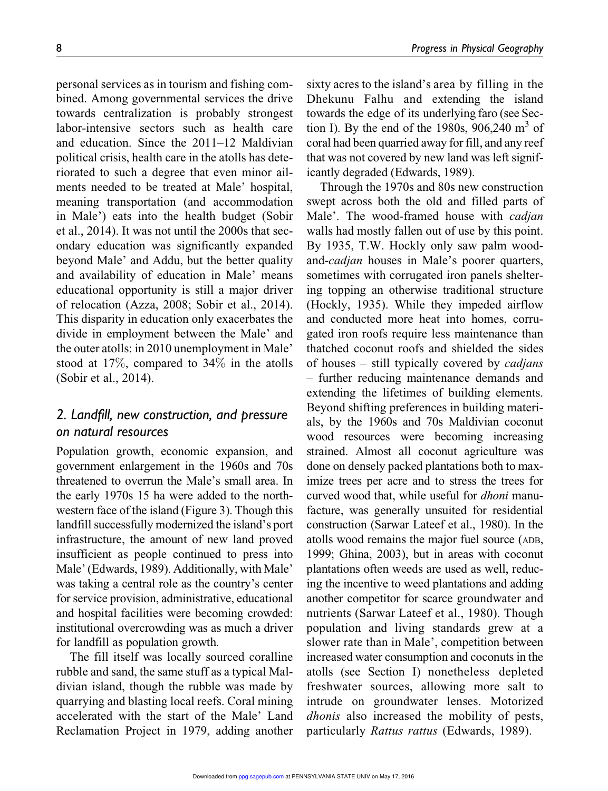8 *Progress in Physical Geography*

personal services as in tourism and fishing combined. Among governmental services the drive towards centralization is probably strongest labor-intensive sectors such as health care and education. Since the 2011–12 Maldivian political crisis, health care in the atolls has deteriorated to such a degree that even minor ailments needed to be treated at Male' hospital, meaning transportation (and accommodation in Male') eats into the health budget (Sobir et al., 2014). It was not until the 2000s that secondary education was significantly expanded beyond Male' and Addu, but the better quality and availability of education in Male' means educational opportunity is still a major driver of relocation (Azza, 2008; Sobir et al., 2014). This disparity in education only exacerbates the divide in employment between the Male' and the outer atolls: in 2010 unemployment in Male' stood at 17%, compared to 34% in the atolls (Sobir et al., 2014).

### *2. Landfill, new construction, and pressure on natural resources*

Population growth, economic expansion, and government enlargement in the 1960s and 70s threatened to overrun the Male's small area. In the early 1970s 15 ha were added to the northwestern face of the island (Figure 3). Though this landfill successfully modernized the island's port infrastructure, the amount of new land proved insufficient as people continued to press into Male' (Edwards, 1989). Additionally, with Male' was taking a central role as the country's center for service provision, administrative, educational and hospital facilities were becoming crowded: institutional overcrowding was as much a driver for landfill as population growth.

The fill itself was locally sourced coralline rubble and sand, the same stuff as a typical Maldivian island, though the rubble was made by quarrying and blasting local reefs. Coral mining accelerated with the start of the Male' Land Reclamation Project in 1979, adding another

sixty acres to the island's area by filling in the Dhekunu Falhu and extending the island towards the edge of its underlying faro (see Section I). By the end of the 1980s,  $906,240 \text{ m}^3$  of coral had been quarried away for fill, and any reef that was not covered by new land was left significantly degraded (Edwards, 1989).

Through the 1970s and 80s new construction swept across both the old and filled parts of Male'. The wood-framed house with *cadjan* walls had mostly fallen out of use by this point. By 1935, T.W. Hockly only saw palm woodand-*cadjan* houses in Male's poorer quarters, sometimes with corrugated iron panels sheltering topping an otherwise traditional structure (Hockly, 1935). While they impeded airflow and conducted more heat into homes, corrugated iron roofs require less maintenance than thatched coconut roofs and shielded the sides of houses – still typically covered by *cadjans* – further reducing maintenance demands and extending the lifetimes of building elements. Beyond shifting preferences in building materials, by the 1960s and 70s Maldivian coconut wood resources were becoming increasing strained. Almost all coconut agriculture was done on densely packed plantations both to maximize trees per acre and to stress the trees for curved wood that, while useful for *dhoni* manufacture, was generally unsuited for residential construction (Sarwar Lateef et al., 1980). In the atolls wood remains the major fuel source (ADB, 1999; Ghina, 2003), but in areas with coconut plantations often weeds are used as well, reducing the incentive to weed plantations and adding another competitor for scarce groundwater and nutrients (Sarwar Lateef et al., 1980). Though population and living standards grew at a slower rate than in Male', competition between increased water consumption and coconuts in the atolls (see Section I) nonetheless depleted freshwater sources, allowing more salt to intrude on groundwater lenses. Motorized *dhonis* also increased the mobility of pests, particularly *Rattus rattus* (Edwards, 1989).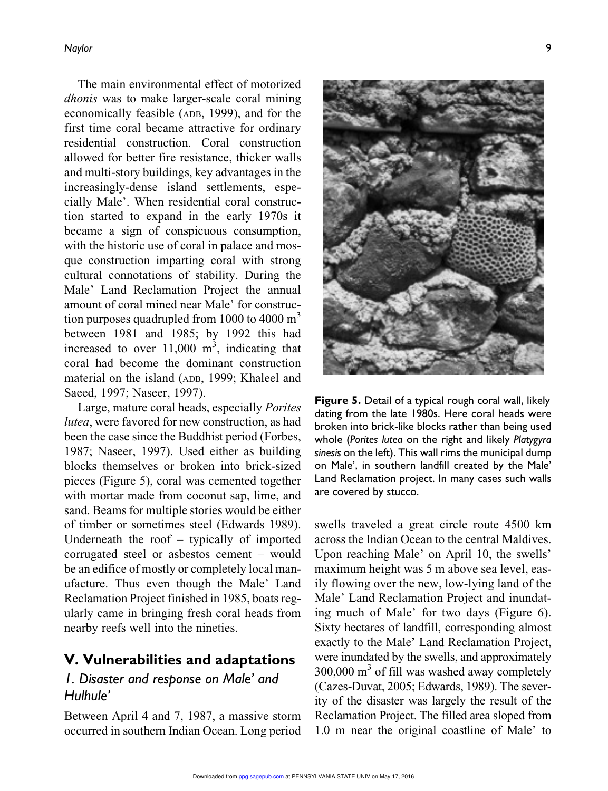The main environmental effect of motorized *dhonis* was to make larger-scale coral mining economically feasible (ADB, 1999), and for the first time coral became attractive for ordinary residential construction. Coral construction allowed for better fire resistance, thicker walls and multi-story buildings, key advantages in the increasingly-dense island settlements, especially Male'. When residential coral construction started to expand in the early 1970s it became a sign of conspicuous consumption, with the historic use of coral in palace and mosque construction imparting coral with strong cultural connotations of stability. During the Male' Land Reclamation Project the annual amount of coral mined near Male' for construction purposes quadrupled from 1000 to 4000  $\text{m}^3$ between 1981 and 1985; by 1992 this had increased to over  $11,000 \text{ m}^3$ , indicating that coral had become the dominant construction material on the island (ADB, 1999; Khaleel and Saeed, 1997; Naseer, 1997).

Large, mature coral heads, especially *Porites lutea*, were favored for new construction, as had been the case since the Buddhist period (Forbes, 1987; Naseer, 1997). Used either as building blocks themselves or broken into brick-sized pieces (Figure 5), coral was cemented together with mortar made from coconut sap, lime, and sand. Beams for multiple stories would be either of timber or sometimes steel (Edwards 1989). Underneath the roof – typically of imported corrugated steel or asbestos cement – would be an edifice of mostly or completely local manufacture. Thus even though the Male' Land Reclamation Project finished in 1985, boats regularly came in bringing fresh coral heads from nearby reefs well into the nineties.

### V. Vulnerabilities and adaptations

### *1. Disaster and response on Male' and Hulhule'*

Between April 4 and 7, 1987, a massive storm occurred in southern Indian Ocean. Long period



Figure 5. Detail of a typical rough coral wall, likely dating from the late 1980s. Here coral heads were broken into brick-like blocks rather than being used whole (*Porites lutea* on the right and likely *Platygyra sinesis* on the left). This wall rims the municipal dump on Male', in southern landfill created by the Male' Land Reclamation project. In many cases such walls are covered by stucco.

swells traveled a great circle route 4500 km across the Indian Ocean to the central Maldives. Upon reaching Male' on April 10, the swells' maximum height was 5 m above sea level, easily flowing over the new, low-lying land of the Male' Land Reclamation Project and inundating much of Male' for two days (Figure 6). Sixty hectares of landfill, corresponding almost exactly to the Male' Land Reclamation Project, were inundated by the swells, and approximately 300,000 m<sup>3</sup> of fill was washed away completely (Cazes-Duvat, 2005; Edwards, 1989). The severity of the disaster was largely the result of the Reclamation Project. The filled area sloped from 1.0 m near the original coastline of Male' to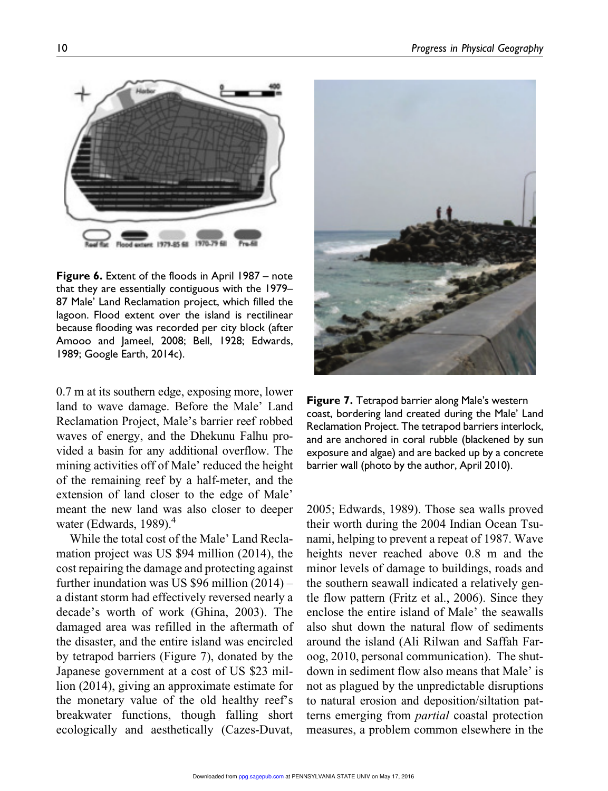

**Figure 6.** Extent of the floods in April 1987 – note that they are essentially contiguous with the 1979– 87 Male' Land Reclamation project, which filled the lagoon. Flood extent over the island is rectilinear because flooding was recorded per city block (after Amooo and Jameel, 2008; Bell, 1928; Edwards, 1989; Google Earth, 2014c).

0.7 m at its southern edge, exposing more, lower land to wave damage. Before the Male' Land Reclamation Project, Male's barrier reef robbed waves of energy, and the Dhekunu Falhu provided a basin for any additional overflow. The mining activities off of Male' reduced the height of the remaining reef by a half-meter, and the extension of land closer to the edge of Male' meant the new land was also closer to deeper water (Edwards, 1989). $<sup>4</sup>$ </sup>

While the total cost of the Male' Land Reclamation project was US \$94 million (2014), the cost repairing the damage and protecting against further inundation was US \$96 million (2014) – a distant storm had effectively reversed nearly a decade's worth of work (Ghina, 2003). The damaged area was refilled in the aftermath of the disaster, and the entire island was encircled by tetrapod barriers (Figure 7), donated by the Japanese government at a cost of US \$23 million (2014), giving an approximate estimate for the monetary value of the old healthy reef's breakwater functions, though falling short ecologically and aesthetically (Cazes-Duvat,



Figure 7. Tetrapod barrier along Male's western coast, bordering land created during the Male' Land Reclamation Project. The tetrapod barriers interlock, and are anchored in coral rubble (blackened by sun exposure and algae) and are backed up by a concrete barrier wall (photo by the author, April 2010).

2005; Edwards, 1989). Those sea walls proved their worth during the 2004 Indian Ocean Tsunami, helping to prevent a repeat of 1987. Wave heights never reached above 0.8 m and the minor levels of damage to buildings, roads and the southern seawall indicated a relatively gentle flow pattern (Fritz et al., 2006). Since they enclose the entire island of Male' the seawalls also shut down the natural flow of sediments around the island (Ali Rilwan and Saffah Faroog, 2010, personal communication). The shutdown in sediment flow also means that Male' is not as plagued by the unpredictable disruptions to natural erosion and deposition/siltation patterns emerging from *partial* coastal protection measures, a problem common elsewhere in the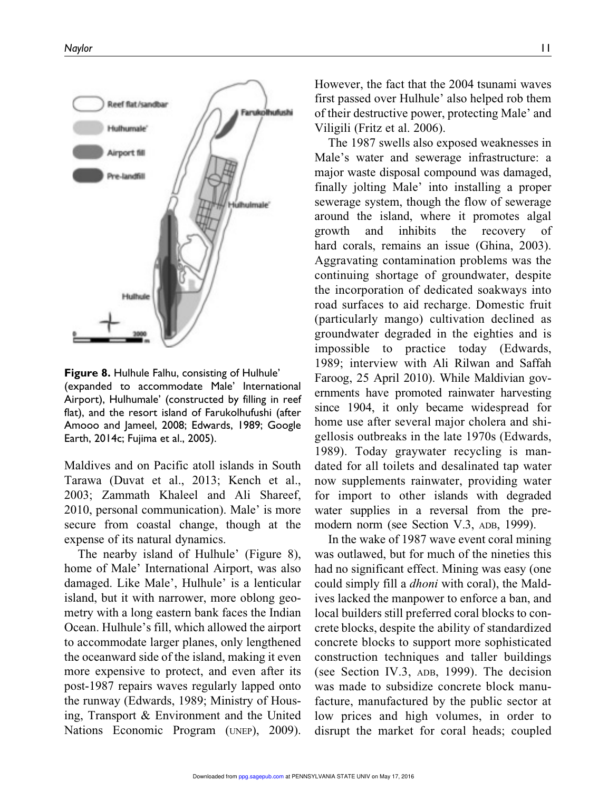

Figure 8. Hulhule Falhu, consisting of Hulhule' (expanded to accommodate Male' International Airport), Hulhumale' (constructed by filling in reef flat), and the resort island of Farukolhufushi (after Amooo and Jameel, 2008; Edwards, 1989; Google Earth, 2014c; Fujima et al., 2005).

Maldives and on Pacific atoll islands in South Tarawa (Duvat et al., 2013; Kench et al., 2003; Zammath Khaleel and Ali Shareef, 2010, personal communication). Male' is more secure from coastal change, though at the expense of its natural dynamics.

The nearby island of Hulhule' (Figure 8), home of Male' International Airport, was also damaged. Like Male', Hulhule' is a lenticular island, but it with narrower, more oblong geometry with a long eastern bank faces the Indian Ocean. Hulhule's fill, which allowed the airport to accommodate larger planes, only lengthened the oceanward side of the island, making it even more expensive to protect, and even after its post-1987 repairs waves regularly lapped onto the runway (Edwards, 1989; Ministry of Housing, Transport & Environment and the United Nations Economic Program (UNEP), 2009). However, the fact that the 2004 tsunami waves first passed over Hulhule' also helped rob them of their destructive power, protecting Male' and Viligili (Fritz et al. 2006).

The 1987 swells also exposed weaknesses in Male's water and sewerage infrastructure: a major waste disposal compound was damaged, finally jolting Male' into installing a proper sewerage system, though the flow of sewerage around the island, where it promotes algal growth and inhibits the recovery of hard corals, remains an issue (Ghina, 2003). Aggravating contamination problems was the continuing shortage of groundwater, despite the incorporation of dedicated soakways into road surfaces to aid recharge. Domestic fruit (particularly mango) cultivation declined as groundwater degraded in the eighties and is impossible to practice today (Edwards, 1989; interview with Ali Rilwan and Saffah Faroog, 25 April 2010). While Maldivian governments have promoted rainwater harvesting since 1904, it only became widespread for home use after several major cholera and shigellosis outbreaks in the late 1970s (Edwards, 1989). Today graywater recycling is mandated for all toilets and desalinated tap water now supplements rainwater, providing water for import to other islands with degraded water supplies in a reversal from the premodern norm (see Section V.3, ADB, 1999).

In the wake of 1987 wave event coral mining was outlawed, but for much of the nineties this had no significant effect. Mining was easy (one could simply fill a *dhoni* with coral), the Maldives lacked the manpower to enforce a ban, and local builders still preferred coral blocks to concrete blocks, despite the ability of standardized concrete blocks to support more sophisticated construction techniques and taller buildings (see Section IV.3, ADB, 1999). The decision was made to subsidize concrete block manufacture, manufactured by the public sector at low prices and high volumes, in order to disrupt the market for coral heads; coupled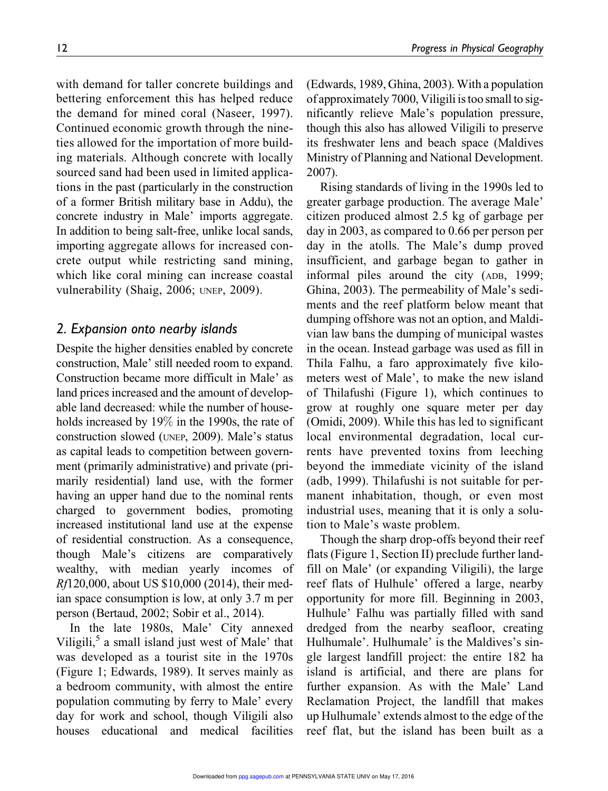with demand for taller concrete buildings and bettering enforcement this has helped reduce the demand for mined coral (Naseer, 1997). Continued economic growth through the nineties allowed for the importation of more building materials. Although concrete with locally sourced sand had been used in limited applications in the past (particularly in the construction of a former British military base in Addu), the concrete industry in Male' imports aggregate. In addition to being salt-free, unlike local sands, importing aggregate allows for increased concrete output while restricting sand mining, which like coral mining can increase coastal vulnerability (Shaig, 2006; UNEP, 2009).

### *2. Expansion onto nearby islands*

Despite the higher densities enabled by concrete construction, Male' still needed room to expand. Construction became more difficult in Male' as land prices increased and the amount of developable land decreased: while the number of households increased by 19% in the 1990s, the rate of construction slowed (UNEP, 2009). Male's status as capital leads to competition between government (primarily administrative) and private (primarily residential) land use, with the former having an upper hand due to the nominal rents charged to government bodies, promoting increased institutional land use at the expense of residential construction. As a consequence, though Male's citizens are comparatively wealthy, with median yearly incomes of *Rf*120,000, about US \$10,000 (2014), their median space consumption is low, at only 3.7 m per person (Bertaud, 2002; Sobir et al., 2014).

In the late 1980s, Male' City annexed Viligili,<sup>5</sup> a small island just west of Male' that was developed as a tourist site in the 1970s (Figure 1; Edwards, 1989). It serves mainly as a bedroom community, with almost the entire population commuting by ferry to Male' every day for work and school, though Viligili also houses educational and medical facilities (Edwards, 1989, Ghina, 2003). With a population of approximately 7000, Viligili is too small to significantly relieve Male's population pressure, though this also has allowed Viligili to preserve its freshwater lens and beach space (Maldives Ministry of Planning and National Development. 2007).

Rising standards of living in the 1990s led to greater garbage production. The average Male' citizen produced almost 2.5 kg of garbage per day in 2003, as compared to 0.66 per person per day in the atolls. The Male's dump proved insufficient, and garbage began to gather in informal piles around the city (ADB, 1999; Ghina, 2003). The permeability of Male's sediments and the reef platform below meant that dumping offshore was not an option, and Maldivian law bans the dumping of municipal wastes in the ocean. Instead garbage was used as fill in Thila Falhu, a faro approximately five kilometers west of Male', to make the new island of Thilafushi (Figure 1), which continues to grow at roughly one square meter per day (Omidi, 2009). While this has led to significant local environmental degradation, local currents have prevented toxins from leeching beyond the immediate vicinity of the island (adb, 1999). Thilafushi is not suitable for permanent inhabitation, though, or even most industrial uses, meaning that it is only a solution to Male's waste problem.

Though the sharp drop-offs beyond their reef flats (Figure 1, Section II) preclude further landfill on Male' (or expanding Viligili), the large reef flats of Hulhule' offered a large, nearby opportunity for more fill. Beginning in 2003, Hulhule' Falhu was partially filled with sand dredged from the nearby seafloor, creating Hulhumale'. Hulhumale' is the Maldives's single largest landfill project: the entire 182 ha island is artificial, and there are plans for further expansion. As with the Male' Land Reclamation Project, the landfill that makes up Hulhumale' extends almost to the edge of the reef flat, but the island has been built as a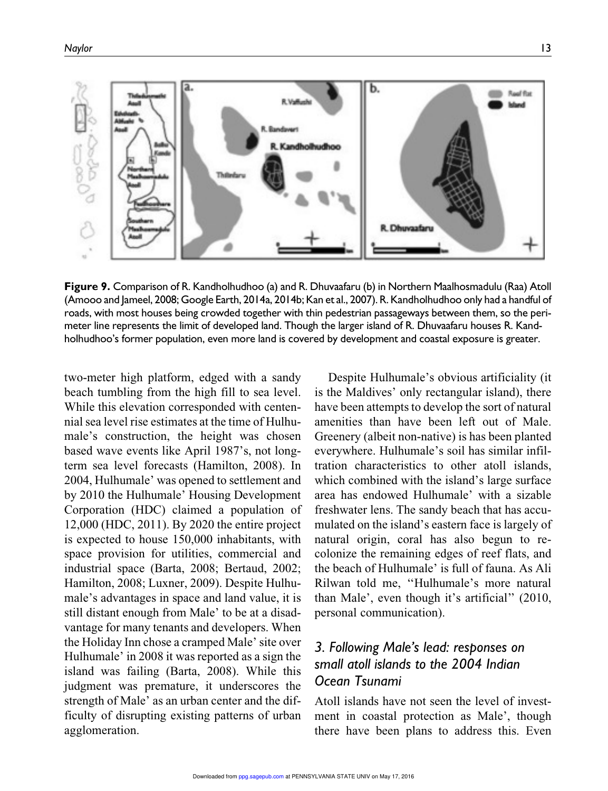

Figure 9. Comparison of R. Kandholhudhoo (a) and R. Dhuvaafaru (b) in Northern Maalhosmadulu (Raa) Atoll (Amooo and Jameel, 2008; Google Earth, 2014a, 2014b; Kan et al., 2007). R. Kandholhudhoo only had a handful of roads, with most houses being crowded together with thin pedestrian passageways between them, so the perimeter line represents the limit of developed land. Though the larger island of R. Dhuvaafaru houses R. Kandholhudhoo's former population, even more land is covered by development and coastal exposure is greater.

two-meter high platform, edged with a sandy beach tumbling from the high fill to sea level. While this elevation corresponded with centennial sea level rise estimates at the time of Hulhumale's construction, the height was chosen based wave events like April 1987's, not longterm sea level forecasts (Hamilton, 2008). In 2004, Hulhumale' was opened to settlement and by 2010 the Hulhumale' Housing Development Corporation (HDC) claimed a population of 12,000 (HDC, 2011). By 2020 the entire project is expected to house 150,000 inhabitants, with space provision for utilities, commercial and industrial space (Barta, 2008; Bertaud, 2002; Hamilton, 2008; Luxner, 2009). Despite Hulhumale's advantages in space and land value, it is still distant enough from Male' to be at a disadvantage for many tenants and developers. When the Holiday Inn chose a cramped Male' site over Hulhumale' in 2008 it was reported as a sign the island was failing (Barta, 2008). While this judgment was premature, it underscores the strength of Male' as an urban center and the difficulty of disrupting existing patterns of urban agglomeration.

Despite Hulhumale's obvious artificiality (it is the Maldives' only rectangular island), there have been attempts to develop the sort of natural amenities than have been left out of Male. Greenery (albeit non-native) is has been planted everywhere. Hulhumale's soil has similar infiltration characteristics to other atoll islands, which combined with the island's large surface area has endowed Hulhumale' with a sizable freshwater lens. The sandy beach that has accumulated on the island's eastern face is largely of natural origin, coral has also begun to recolonize the remaining edges of reef flats, and the beach of Hulhumale' is full of fauna. As Ali Rilwan told me, ''Hulhumale's more natural than Male', even though it's artificial'' (2010, personal communication).

# *3. Following Male's lead: responses on small atoll islands to the 2004 Indian Ocean Tsunami*

Atoll islands have not seen the level of investment in coastal protection as Male', though there have been plans to address this. Even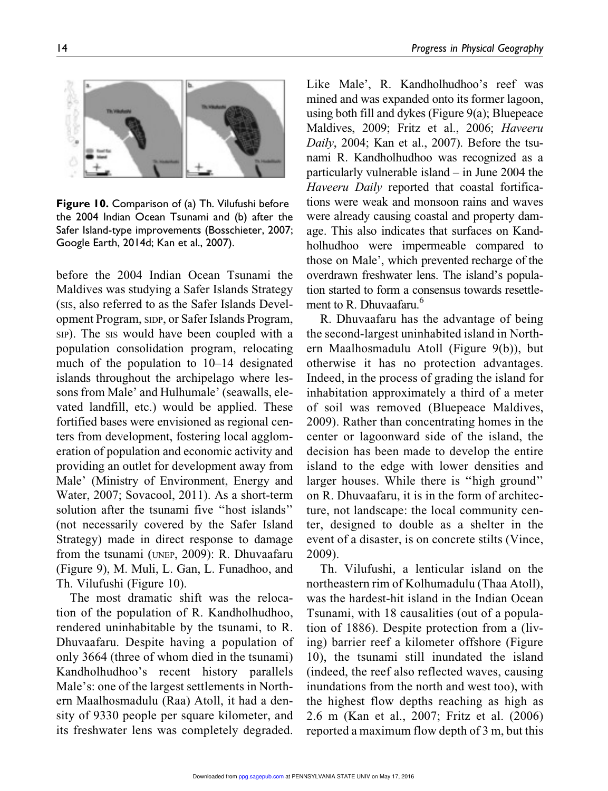

Figure 10. Comparison of (a) Th. Vilufushi before the 2004 Indian Ocean Tsunami and (b) after the Safer Island-type improvements (Bosschieter, 2007; Google Earth, 2014d; Kan et al., 2007).

before the 2004 Indian Ocean Tsunami the Maldives was studying a Safer Islands Strategy (SIS, also referred to as the Safer Islands Development Program, SIDP, or Safer Islands Program, SIP). The SIS would have been coupled with a population consolidation program, relocating much of the population to 10–14 designated islands throughout the archipelago where lessons from Male' and Hulhumale' (seawalls, elevated landfill, etc.) would be applied. These fortified bases were envisioned as regional centers from development, fostering local agglomeration of population and economic activity and providing an outlet for development away from Male' (Ministry of Environment, Energy and Water, 2007; Sovacool, 2011). As a short-term solution after the tsunami five ''host islands'' (not necessarily covered by the Safer Island Strategy) made in direct response to damage from the tsunami (UNEP, 2009): R. Dhuvaafaru (Figure 9), M. Muli, L. Gan, L. Funadhoo, and Th. Vilufushi (Figure 10).

The most dramatic shift was the relocation of the population of R. Kandholhudhoo, rendered uninhabitable by the tsunami, to R. Dhuvaafaru. Despite having a population of only 3664 (three of whom died in the tsunami) Kandholhudhoo's recent history parallels Male's: one of the largest settlements in Northern Maalhosmadulu (Raa) Atoll, it had a density of 9330 people per square kilometer, and its freshwater lens was completely degraded.

Like Male', R. Kandholhudhoo's reef was mined and was expanded onto its former lagoon, using both fill and dykes (Figure 9(a); Bluepeace Maldives, 2009; Fritz et al., 2006; *Haveeru Daily*, 2004; Kan et al., 2007). Before the tsunami R. Kandholhudhoo was recognized as a particularly vulnerable island – in June 2004 the *Haveeru Daily* reported that coastal fortifications were weak and monsoon rains and waves were already causing coastal and property damage. This also indicates that surfaces on Kandholhudhoo were impermeable compared to those on Male', which prevented recharge of the overdrawn freshwater lens. The island's population started to form a consensus towards resettlement to R. Dhuvaafaru.<sup>6</sup>

R. Dhuvaafaru has the advantage of being the second-largest uninhabited island in Northern Maalhosmadulu Atoll (Figure 9(b)), but otherwise it has no protection advantages. Indeed, in the process of grading the island for inhabitation approximately a third of a meter of soil was removed (Bluepeace Maldives, 2009). Rather than concentrating homes in the center or lagoonward side of the island, the decision has been made to develop the entire island to the edge with lower densities and larger houses. While there is ''high ground'' on R. Dhuvaafaru, it is in the form of architecture, not landscape: the local community center, designed to double as a shelter in the event of a disaster, is on concrete stilts (Vince, 2009).

Th. Vilufushi, a lenticular island on the northeastern rim of Kolhumadulu (Thaa Atoll), was the hardest-hit island in the Indian Ocean Tsunami, with 18 causalities (out of a population of 1886). Despite protection from a (living) barrier reef a kilometer offshore (Figure 10), the tsunami still inundated the island (indeed, the reef also reflected waves, causing inundations from the north and west too), with the highest flow depths reaching as high as 2.6 m (Kan et al., 2007; Fritz et al. (2006) reported a maximum flow depth of 3 m, but this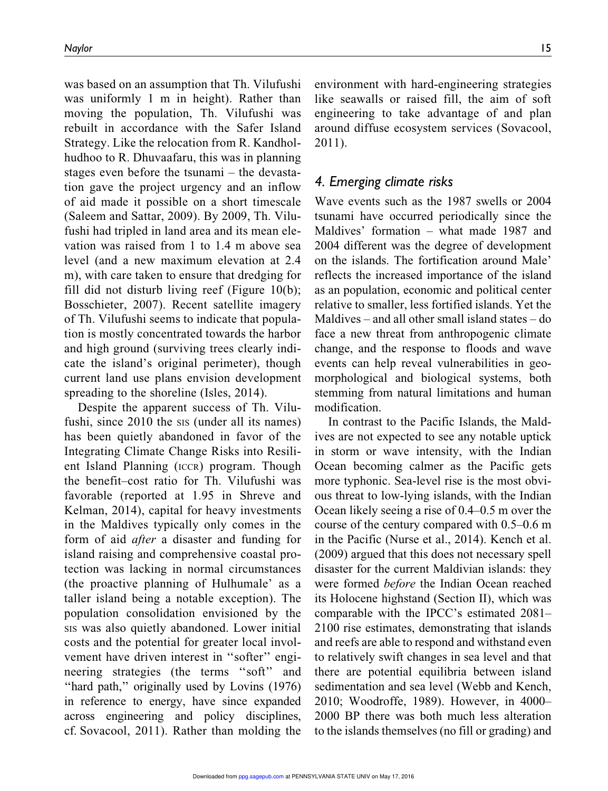was based on an assumption that Th. Vilufushi was uniformly 1 m in height). Rather than moving the population, Th. Vilufushi was rebuilt in accordance with the Safer Island Strategy. Like the relocation from R. Kandholhudhoo to R. Dhuvaafaru, this was in planning stages even before the tsunami – the devastation gave the project urgency and an inflow of aid made it possible on a short timescale (Saleem and Sattar, 2009). By 2009, Th. Vilufushi had tripled in land area and its mean elevation was raised from 1 to 1.4 m above sea level (and a new maximum elevation at 2.4 m), with care taken to ensure that dredging for fill did not disturb living reef (Figure 10(b); Bosschieter, 2007). Recent satellite imagery of Th. Vilufushi seems to indicate that population is mostly concentrated towards the harbor and high ground (surviving trees clearly indicate the island's original perimeter), though current land use plans envision development spreading to the shoreline (Isles, 2014).

Despite the apparent success of Th. Vilufushi, since 2010 the sis (under all its names) has been quietly abandoned in favor of the Integrating Climate Change Risks into Resilient Island Planning (ICCR) program. Though the benefit–cost ratio for Th. Vilufushi was favorable (reported at 1.95 in Shreve and Kelman, 2014), capital for heavy investments in the Maldives typically only comes in the form of aid *after* a disaster and funding for island raising and comprehensive coastal protection was lacking in normal circumstances (the proactive planning of Hulhumale' as a taller island being a notable exception). The population consolidation envisioned by the SIS was also quietly abandoned. Lower initial costs and the potential for greater local involvement have driven interest in ''softer'' engineering strategies (the terms "soft" and ''hard path,'' originally used by Lovins (1976) in reference to energy, have since expanded across engineering and policy disciplines, cf. Sovacool, 2011). Rather than molding the environment with hard-engineering strategies like seawalls or raised fill, the aim of soft engineering to take advantage of and plan around diffuse ecosystem services (Sovacool, 2011).

### *4. Emerging climate risks*

Wave events such as the 1987 swells or 2004 tsunami have occurred periodically since the Maldives' formation – what made 1987 and 2004 different was the degree of development on the islands. The fortification around Male' reflects the increased importance of the island as an population, economic and political center relative to smaller, less fortified islands. Yet the Maldives – and all other small island states – do face a new threat from anthropogenic climate change, and the response to floods and wave events can help reveal vulnerabilities in geomorphological and biological systems, both stemming from natural limitations and human modification.

In contrast to the Pacific Islands, the Maldives are not expected to see any notable uptick in storm or wave intensity, with the Indian Ocean becoming calmer as the Pacific gets more typhonic. Sea-level rise is the most obvious threat to low-lying islands, with the Indian Ocean likely seeing a rise of 0.4–0.5 m over the course of the century compared with 0.5–0.6 m in the Pacific (Nurse et al., 2014). Kench et al. (2009) argued that this does not necessary spell disaster for the current Maldivian islands: they were formed *before* the Indian Ocean reached its Holocene highstand (Section II), which was comparable with the IPCC's estimated 2081– 2100 rise estimates, demonstrating that islands and reefs are able to respond and withstand even to relatively swift changes in sea level and that there are potential equilibria between island sedimentation and sea level (Webb and Kench, 2010; Woodroffe, 1989). However, in 4000– 2000 BP there was both much less alteration to the islands themselves (no fill or grading) and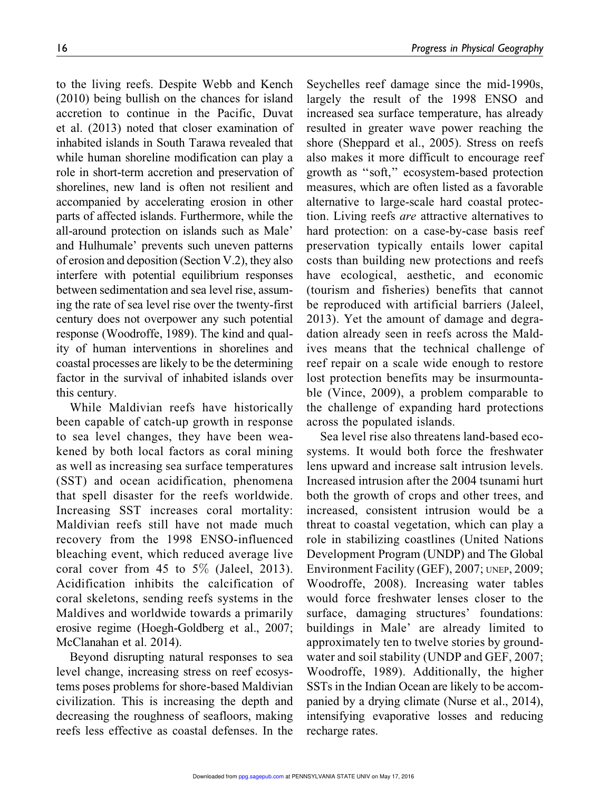to the living reefs. Despite Webb and Kench (2010) being bullish on the chances for island accretion to continue in the Pacific, Duvat et al. (2013) noted that closer examination of inhabited islands in South Tarawa revealed that while human shoreline modification can play a role in short-term accretion and preservation of shorelines, new land is often not resilient and accompanied by accelerating erosion in other parts of affected islands. Furthermore, while the all-around protection on islands such as Male' and Hulhumale' prevents such uneven patterns of erosion and deposition (Section V.2), they also interfere with potential equilibrium responses between sedimentation and sea level rise, assuming the rate of sea level rise over the twenty-first century does not overpower any such potential response (Woodroffe, 1989). The kind and quality of human interventions in shorelines and coastal processes are likely to be the determining factor in the survival of inhabited islands over this century.

While Maldivian reefs have historically been capable of catch-up growth in response to sea level changes, they have been weakened by both local factors as coral mining as well as increasing sea surface temperatures (SST) and ocean acidification, phenomena that spell disaster for the reefs worldwide. Increasing SST increases coral mortality: Maldivian reefs still have not made much recovery from the 1998 ENSO-influenced bleaching event, which reduced average live coral cover from 45 to  $5\%$  (Jaleel, 2013). Acidification inhibits the calcification of coral skeletons, sending reefs systems in the Maldives and worldwide towards a primarily erosive regime (Hoegh-Goldberg et al., 2007; McClanahan et al. 2014).

Beyond disrupting natural responses to sea level change, increasing stress on reef ecosystems poses problems for shore-based Maldivian civilization. This is increasing the depth and decreasing the roughness of seafloors, making reefs less effective as coastal defenses. In the

Seychelles reef damage since the mid-1990s, largely the result of the 1998 ENSO and increased sea surface temperature, has already resulted in greater wave power reaching the shore (Sheppard et al., 2005). Stress on reefs also makes it more difficult to encourage reef growth as ''soft,'' ecosystem-based protection measures, which are often listed as a favorable alternative to large-scale hard coastal protection. Living reefs *are* attractive alternatives to hard protection: on a case-by-case basis reef preservation typically entails lower capital costs than building new protections and reefs have ecological, aesthetic, and economic (tourism and fisheries) benefits that cannot be reproduced with artificial barriers (Jaleel, 2013). Yet the amount of damage and degradation already seen in reefs across the Maldives means that the technical challenge of reef repair on a scale wide enough to restore lost protection benefits may be insurmountable (Vince, 2009), a problem comparable to the challenge of expanding hard protections across the populated islands.

Sea level rise also threatens land-based ecosystems. It would both force the freshwater lens upward and increase salt intrusion levels. Increased intrusion after the 2004 tsunami hurt both the growth of crops and other trees, and increased, consistent intrusion would be a threat to coastal vegetation, which can play a role in stabilizing coastlines (United Nations Development Program (UNDP) and The Global Environment Facility (GEF), 2007; UNEP, 2009; Woodroffe, 2008). Increasing water tables would force freshwater lenses closer to the surface, damaging structures' foundations: buildings in Male' are already limited to approximately ten to twelve stories by groundwater and soil stability (UNDP and GEF, 2007; Woodroffe, 1989). Additionally, the higher SSTs in the Indian Ocean are likely to be accompanied by a drying climate (Nurse et al., 2014), intensifying evaporative losses and reducing recharge rates.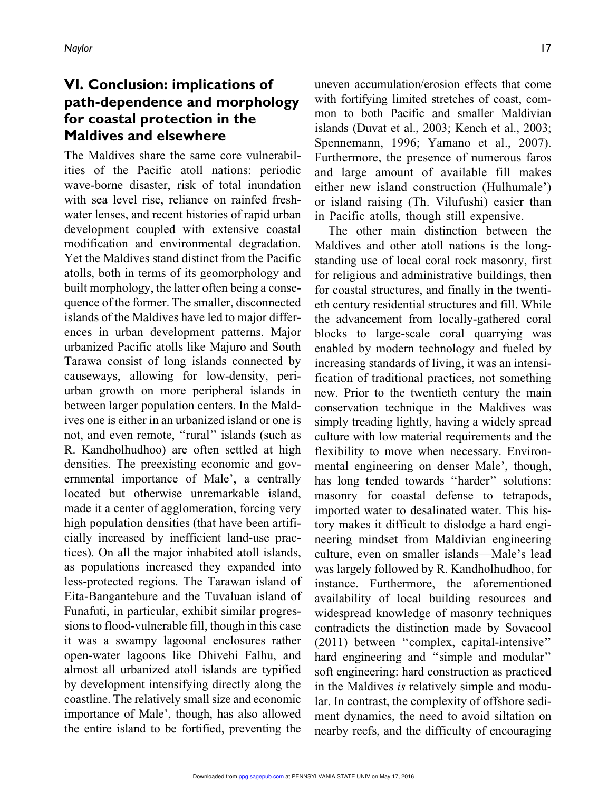# VI. Conclusion: implications of path-dependence and morphology for coastal protection in the Maldives and elsewhere

The Maldives share the same core vulnerabilities of the Pacific atoll nations: periodic wave-borne disaster, risk of total inundation with sea level rise, reliance on rainfed freshwater lenses, and recent histories of rapid urban development coupled with extensive coastal modification and environmental degradation. Yet the Maldives stand distinct from the Pacific atolls, both in terms of its geomorphology and built morphology, the latter often being a consequence of the former. The smaller, disconnected islands of the Maldives have led to major differences in urban development patterns. Major urbanized Pacific atolls like Majuro and South Tarawa consist of long islands connected by causeways, allowing for low-density, periurban growth on more peripheral islands in between larger population centers. In the Maldives one is either in an urbanized island or one is not, and even remote, ''rural'' islands (such as R. Kandholhudhoo) are often settled at high densities. The preexisting economic and governmental importance of Male', a centrally located but otherwise unremarkable island, made it a center of agglomeration, forcing very high population densities (that have been artificially increased by inefficient land-use practices). On all the major inhabited atoll islands, as populations increased they expanded into less-protected regions. The Tarawan island of Eita-Bangantebure and the Tuvaluan island of Funafuti, in particular, exhibit similar progressions to flood-vulnerable fill, though in this case it was a swampy lagoonal enclosures rather open-water lagoons like Dhivehi Falhu, and almost all urbanized atoll islands are typified by development intensifying directly along the coastline. The relatively small size and economic importance of Male', though, has also allowed the entire island to be fortified, preventing the

uneven accumulation/erosion effects that come with fortifying limited stretches of coast, common to both Pacific and smaller Maldivian islands (Duvat et al., 2003; Kench et al., 2003; Spennemann, 1996; Yamano et al., 2007). Furthermore, the presence of numerous faros and large amount of available fill makes either new island construction (Hulhumale') or island raising (Th. Vilufushi) easier than in Pacific atolls, though still expensive.

The other main distinction between the Maldives and other atoll nations is the longstanding use of local coral rock masonry, first for religious and administrative buildings, then for coastal structures, and finally in the twentieth century residential structures and fill. While the advancement from locally-gathered coral blocks to large-scale coral quarrying was enabled by modern technology and fueled by increasing standards of living, it was an intensification of traditional practices, not something new. Prior to the twentieth century the main conservation technique in the Maldives was simply treading lightly, having a widely spread culture with low material requirements and the flexibility to move when necessary. Environmental engineering on denser Male', though, has long tended towards ''harder'' solutions: masonry for coastal defense to tetrapods, imported water to desalinated water. This history makes it difficult to dislodge a hard engineering mindset from Maldivian engineering culture, even on smaller islands—Male's lead was largely followed by R. Kandholhudhoo, for instance. Furthermore, the aforementioned availability of local building resources and widespread knowledge of masonry techniques contradicts the distinction made by Sovacool (2011) between ''complex, capital-intensive'' hard engineering and "simple and modular" soft engineering: hard construction as practiced in the Maldives *is* relatively simple and modular. In contrast, the complexity of offshore sediment dynamics, the need to avoid siltation on nearby reefs, and the difficulty of encouraging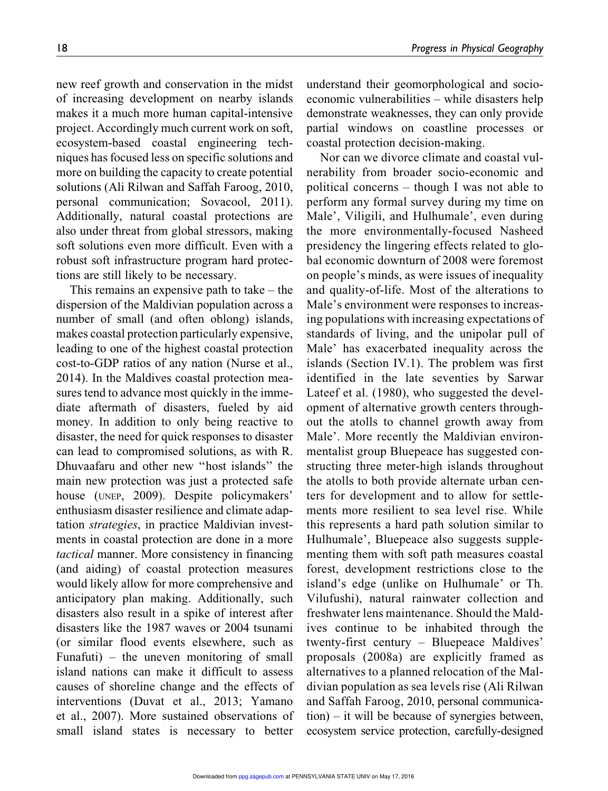new reef growth and conservation in the midst of increasing development on nearby islands makes it a much more human capital-intensive project. Accordingly much current work on soft, ecosystem-based coastal engineering techniques has focused less on specific solutions and more on building the capacity to create potential solutions (Ali Rilwan and Saffah Faroog, 2010, personal communication; Sovacool, 2011). Additionally, natural coastal protections are also under threat from global stressors, making soft solutions even more difficult. Even with a robust soft infrastructure program hard protections are still likely to be necessary.

This remains an expensive path to take – the dispersion of the Maldivian population across a number of small (and often oblong) islands, makes coastal protection particularly expensive, leading to one of the highest coastal protection cost-to-GDP ratios of any nation (Nurse et al., 2014). In the Maldives coastal protection measures tend to advance most quickly in the immediate aftermath of disasters, fueled by aid money. In addition to only being reactive to disaster, the need for quick responses to disaster can lead to compromised solutions, as with R. Dhuvaafaru and other new ''host islands'' the main new protection was just a protected safe house (UNEP, 2009). Despite policymakers' enthusiasm disaster resilience and climate adaptation *strategies*, in practice Maldivian investments in coastal protection are done in a more *tactical* manner. More consistency in financing (and aiding) of coastal protection measures would likely allow for more comprehensive and anticipatory plan making. Additionally, such disasters also result in a spike of interest after disasters like the 1987 waves or 2004 tsunami (or similar flood events elsewhere, such as Funafuti) – the uneven monitoring of small island nations can make it difficult to assess causes of shoreline change and the effects of interventions (Duvat et al., 2013; Yamano et al., 2007). More sustained observations of small island states is necessary to better

understand their geomorphological and socioeconomic vulnerabilities – while disasters help demonstrate weaknesses, they can only provide partial windows on coastline processes or coastal protection decision-making.

Nor can we divorce climate and coastal vulnerability from broader socio-economic and political concerns – though I was not able to perform any formal survey during my time on Male', Viligili, and Hulhumale', even during the more environmentally-focused Nasheed presidency the lingering effects related to global economic downturn of 2008 were foremost on people's minds, as were issues of inequality and quality-of-life. Most of the alterations to Male's environment were responses to increasing populations with increasing expectations of standards of living, and the unipolar pull of Male' has exacerbated inequality across the islands (Section IV.1). The problem was first identified in the late seventies by Sarwar Lateef et al. (1980), who suggested the development of alternative growth centers throughout the atolls to channel growth away from Male'. More recently the Maldivian environmentalist group Bluepeace has suggested constructing three meter-high islands throughout the atolls to both provide alternate urban centers for development and to allow for settlements more resilient to sea level rise. While this represents a hard path solution similar to Hulhumale', Bluepeace also suggests supplementing them with soft path measures coastal forest, development restrictions close to the island's edge (unlike on Hulhumale' or Th. Vilufushi), natural rainwater collection and freshwater lens maintenance. Should the Maldives continue to be inhabited through the twenty-first century – Bluepeace Maldives' proposals (2008a) are explicitly framed as alternatives to a planned relocation of the Maldivian population as sea levels rise (Ali Rilwan and Saffah Faroog, 2010, personal communication) – it will be because of synergies between, ecosystem service protection, carefully-designed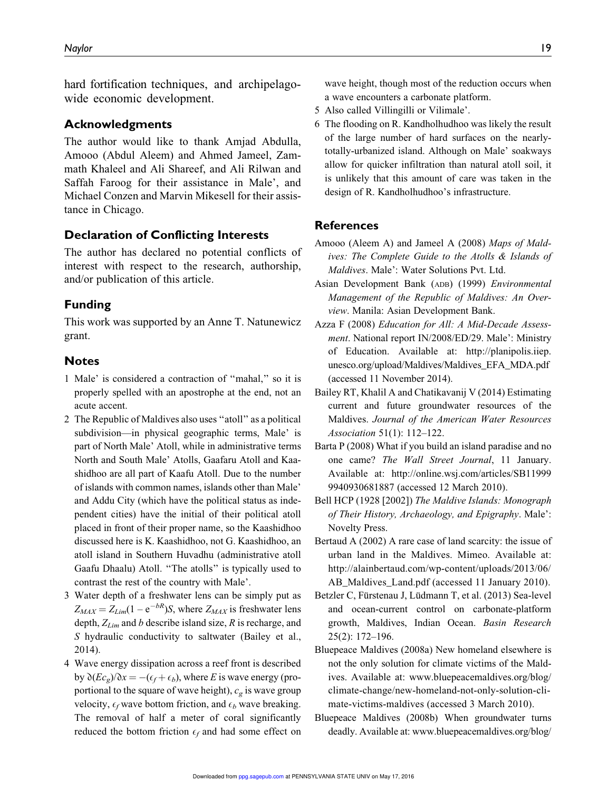hard fortification techniques, and archipelagowide economic development.

#### Acknowledgments

The author would like to thank Amjad Abdulla, Amooo (Abdul Aleem) and Ahmed Jameel, Zammath Khaleel and Ali Shareef, and Ali Rilwan and Saffah Faroog for their assistance in Male', and Michael Conzen and Marvin Mikesell for their assistance in Chicago.

#### Declaration of Conflicting Interests

The author has declared no potential conflicts of interest with respect to the research, authorship, and/or publication of this article.

#### Funding

This work was supported by an Anne T. Natunewicz grant.

#### Notes

- 1 Male' is considered a contraction of ''mahal,'' so it is properly spelled with an apostrophe at the end, not an acute accent.
- 2 The Republic of Maldives also uses ''atoll'' as a political subdivision—in physical geographic terms, Male' is part of North Male' Atoll, while in administrative terms North and South Male' Atolls, Gaafaru Atoll and Kaashidhoo are all part of Kaafu Atoll. Due to the number of islands with common names, islands other than Male' and Addu City (which have the political status as independent cities) have the initial of their political atoll placed in front of their proper name, so the Kaashidhoo discussed here is K. Kaashidhoo, not G. Kaashidhoo, an atoll island in Southern Huvadhu (administrative atoll Gaafu Dhaalu) Atoll. ''The atolls'' is typically used to contrast the rest of the country with Male'.
- 3 Water depth of a freshwater lens can be simply put as  $Z_{MAX} = Z_{Lim} (1 - e^{-bR}) S$ , where  $Z_{MAX}$  is freshwater lens depth, *ZLim* and *b* describe island size, *R* is recharge, and *S* hydraulic conductivity to saltwater (Bailey et al., 2014).
- 4 Wave energy dissipation across a reef front is described by  $\partial (Ec_g)/\partial x = -(e_f + e_b)$ , where *E* is wave energy (proportional to the square of wave height),  $c_g$  is wave group velocity,  $\epsilon_f$  wave bottom friction, and  $\epsilon_b$  wave breaking. The removal of half a meter of coral significantly reduced the bottom friction  $\epsilon_f$  and had some effect on

wave height, though most of the reduction occurs when a wave encounters a carbonate platform.

- 5 Also called Villingilli or Vilimale'.
- 6 The flooding on R. Kandholhudhoo was likely the result of the large number of hard surfaces on the nearlytotally-urbanized island. Although on Male' soakways allow for quicker infiltration than natural atoll soil, it is unlikely that this amount of care was taken in the design of R. Kandholhudhoo's infrastructure.

#### References

- Amooo (Aleem A) and Jameel A (2008) *Maps of Maldives: The Complete Guide to the Atolls & Islands of Maldives*. Male': Water Solutions Pvt. Ltd.
- Asian Development Bank (ADB) (1999) *Environmental Management of the Republic of Maldives: An Overview*. Manila: Asian Development Bank.
- Azza F (2008) *Education for All: A Mid-Decade Assessment*. National report IN/2008/ED/29. Male': Ministry of Education. Available at: http://planipolis.iiep. unesco.org/upload/Maldives/Maldives\_EFA\_MDA.pdf (accessed 11 November 2014).
- Bailey RT, Khalil A and Chatikavanij V (2014) Estimating current and future groundwater resources of the Maldives. *Journal of the American Water Resources Association* 51(1): 112–122.
- Barta P (2008) What if you build an island paradise and no one came? *The Wall Street Journal*, 11 January. Available at: http://online.wsj.com/articles/SB11999 9940930681887 (accessed 12 March 2010).
- Bell HCP (1928 [2002]) *The Maldive Islands: Monograph of Their History, Archaeology, and Epigraphy*. Male': Novelty Press.
- Bertaud A (2002) A rare case of land scarcity: the issue of urban land in the Maldives. Mimeo. Available at: http://alainbertaud.com/wp-content/uploads/2013/06/ AB\_Maldives\_Land.pdf (accessed 11 January 2010).
- Betzler C, Fürstenau J, Lüdmann T, et al. (2013) Sea-level and ocean-current control on carbonate-platform growth, Maldives, Indian Ocean. *Basin Research* 25(2): 172–196.
- Bluepeace Maldives (2008a) New homeland elsewhere is not the only solution for climate victims of the Maldives. Available at: www.bluepeacemaldives.org/blog/ climate-change/new-homeland-not-only-solution-climate-victims-maldives (accessed 3 March 2010).
- Bluepeace Maldives (2008b) When groundwater turns deadly. Available at: www.bluepeacemaldives.org/blog/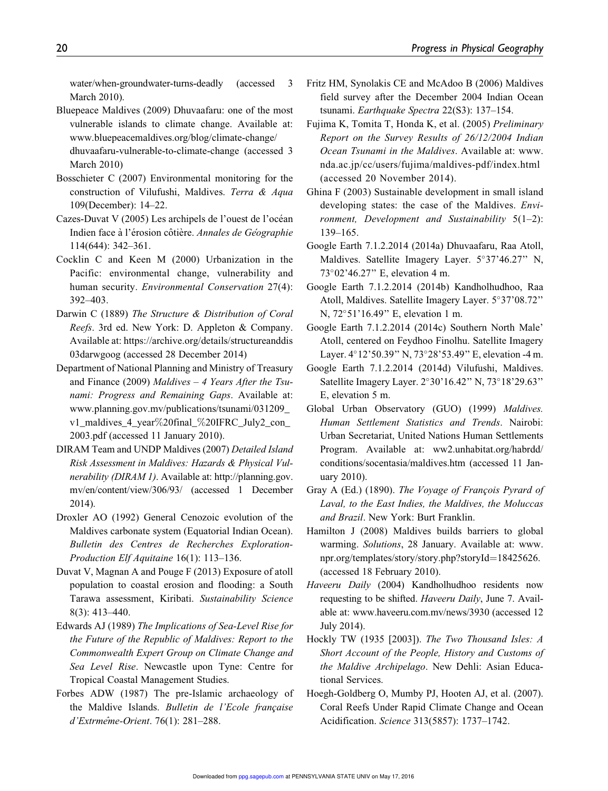water/when-groundwater-turns-deadly (accessed 3 March 2010).

- Bluepeace Maldives (2009) Dhuvaafaru: one of the most vulnerable islands to climate change. Available at: www.bluepeacemaldives.org/blog/climate-change/ dhuvaafaru-vulnerable-to-climate-change (accessed 3 March 2010)
- Bosschieter C (2007) Environmental monitoring for the construction of Vilufushi, Maldives. *Terra & Aqua* 109(December): 14–22.
- Cazes-Duvat V (2005) Les archipels de l'ouest de l'océan Indien face à l'érosion côtière. *Annales de Géographie* 114(644): 342–361.
- Cocklin C and Keen M (2000) Urbanization in the Pacific: environmental change, vulnerability and human security. *Environmental Conservation* 27(4): 392–403.
- Darwin C (1889) *The Structure & Distribution of Coral Reefs*. 3rd ed. New York: D. Appleton & Company. Available at: https://archive.org/details/structureanddis 03darwgoog (accessed 28 December 2014)
- Department of National Planning and Ministry of Treasury and Finance (2009) *Maldives – 4 Years After the Tsunami: Progress and Remaining Gaps*. Available at: www.planning.gov.mv/publications/tsunami/031209\_ v1\_maldives\_4\_year%20final\_%20IFRC\_July2\_con\_ 2003.pdf (accessed 11 January 2010).
- DIRAM Team and UNDP Maldives (2007) *Detailed Island Risk Assessment in Maldives: Hazards & Physical Vulnerability (DIRAM 1)*. Available at: http://planning.gov. mv/en/content/view/306/93/ (accessed 1 December 2014).
- Droxler AO (1992) General Cenozoic evolution of the Maldives carbonate system (Equatorial Indian Ocean). *Bulletin des Centres de Recherches Exploration-Production Elf Aquitaine* 16(1): 113–136.
- Duvat V, Magnan A and Pouge F (2013) Exposure of atoll population to coastal erosion and flooding: a South Tarawa assessment, Kiribati. *Sustainability Science* 8(3): 413–440.
- Edwards AJ (1989) *The Implications of Sea-Level Rise for the Future of the Republic of Maldives: Report to the Commonwealth Expert Group on Climate Change and Sea Level Rise*. Newcastle upon Tyne: Centre for Tropical Coastal Management Studies.
- Forbes ADW (1987) The pre-Islamic archaeology of the Maldive Islands. *Bulletin de l'Ecole française d'Extrmeˆme-Orient*. 76(1): 281–288.
- Fritz HM, Synolakis CE and McAdoo B (2006) Maldives field survey after the December 2004 Indian Ocean tsunami. *Earthquake Spectra* 22(S3): 137–154.
- Fujima K, Tomita T, Honda K, et al. (2005) *Preliminary Report on the Survey Results of 26/12/2004 Indian Ocean Tsunami in the Maldives*. Available at: www. nda.ac.jp/cc/users/fujima/maldives-pdf/index.html (accessed 20 November 2014).
- Ghina F (2003) Sustainable development in small island developing states: the case of the Maldives. *Environment, Development and Sustainability* 5(1–2): 139–165.
- Google Earth 7.1.2.2014 (2014a) Dhuvaafaru, Raa Atoll, Maldives. Satellite Imagery Layer. 5°37'46.27" N, 7302'46.27'' E, elevation 4 m.
- Google Earth 7.1.2.2014 (2014b) Kandholhudhoo, Raa Atoll, Maldives. Satellite Imagery Layer. 5°37'08.72" N, 72°51'16.49" E, elevation 1 m.
- Google Earth 7.1.2.2014 (2014c) Southern North Male' Atoll, centered on Feydhoo Finolhu. Satellite Imagery Layer.  $4^{\circ}12'50.39''$  N,  $73^{\circ}28'53.49''$  E, elevation -4 m.
- Google Earth 7.1.2.2014 (2014d) Vilufushi, Maldives. Satellite Imagery Layer. 2°30'16.42" N, 73°18'29.63" E, elevation 5 m.
- Global Urban Observatory (GUO) (1999) *Maldives. Human Settlement Statistics and Trends*. Nairobi: Urban Secretariat, United Nations Human Settlements Program. Available at: ww2.unhabitat.org/habrdd/ conditions/socentasia/maldives.htm (accessed 11 January 2010).
- Gray A (Ed.) (1890). *The Voyage of François Pyrard of Laval, to the East Indies, the Maldives, the Moluccas and Brazil*. New York: Burt Franklin.
- Hamilton J (2008) Maldives builds barriers to global warming. *Solutions*, 28 January. Available at: www. npr.org/templates/story/story.php?storyId=18425626. (accessed 18 February 2010).
- *Haveeru Daily* (2004) Kandholhudhoo residents now requesting to be shifted. *Haveeru Daily*, June 7. Available at: www.haveeru.com.mv/news/3930 (accessed 12 July 2014).
- Hockly TW (1935 [2003]). *The Two Thousand Isles: A Short Account of the People, History and Customs of the Maldive Archipelago*. New Dehli: Asian Educational Services.
- Hoegh-Goldberg O, Mumby PJ, Hooten AJ, et al. (2007). Coral Reefs Under Rapid Climate Change and Ocean Acidification. *Science* 313(5857): 1737–1742.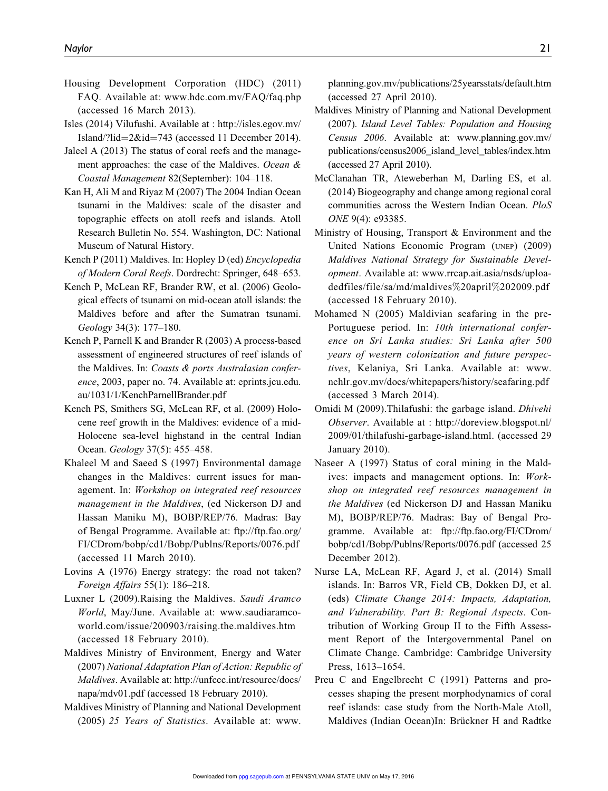- Housing Development Corporation (HDC) (2011) FAQ. Available at: www.hdc.com.mv/FAQ/faq.php (accessed 16 March 2013).
- Isles (2014) Vilufushi. Available at : http://isles.egov.mv/ Island/?lid= $2\&$ id= $743$  (accessed 11 December 2014).
- Jaleel A (2013) The status of coral reefs and the management approaches: the case of the Maldives. *Ocean & Coastal Management* 82(September): 104–118.
- Kan H, Ali M and Riyaz M (2007) The 2004 Indian Ocean tsunami in the Maldives: scale of the disaster and topographic effects on atoll reefs and islands. Atoll Research Bulletin No. 554. Washington, DC: National Museum of Natural History.
- Kench P (2011) Maldives. In: Hopley D (ed) *Encyclopedia of Modern Coral Reefs*. Dordrecht: Springer, 648–653.
- Kench P, McLean RF, Brander RW, et al. (2006) Geological effects of tsunami on mid-ocean atoll islands: the Maldives before and after the Sumatran tsunami. *Geology* 34(3): 177–180.
- Kench P, Parnell K and Brander R (2003) A process-based assessment of engineered structures of reef islands of the Maldives. In: *Coasts & ports Australasian conference*, 2003, paper no. 74. Available at: eprints.jcu.edu. au/1031/1/KenchParnellBrander.pdf
- Kench PS, Smithers SG, McLean RF, et al. (2009) Holocene reef growth in the Maldives: evidence of a mid-Holocene sea-level highstand in the central Indian Ocean. *Geology* 37(5): 455–458.
- Khaleel M and Saeed S (1997) Environmental damage changes in the Maldives: current issues for management. In: *Workshop on integrated reef resources management in the Maldives*, (ed Nickerson DJ and Hassan Maniku M), BOBP/REP/76. Madras: Bay of Bengal Programme. Available at: ftp://ftp.fao.org/ FI/CDrom/bobp/cd1/Bobp/Publns/Reports/0076.pdf (accessed 11 March 2010).
- Lovins A (1976) Energy strategy: the road not taken? *Foreign Affairs* 55(1): 186–218.
- Luxner L (2009).Raising the Maldives. *Saudi Aramco World*, May/June. Available at: www.saudiaramcoworld.com/issue/200903/raising.the.maldives.htm (accessed 18 February 2010).
- Maldives Ministry of Environment, Energy and Water (2007) *National Adaptation Plan of Action: Republic of Maldives*. Available at: http://unfccc.int/resource/docs/ napa/mdv01.pdf (accessed 18 February 2010).
- Maldives Ministry of Planning and National Development (2005) *25 Years of Statistics*. Available at: www.

planning.gov.mv/publications/25yearsstats/default.htm (accessed 27 April 2010).

- Maldives Ministry of Planning and National Development (2007). *Island Level Tables: Population and Housing Census 2006*. Available at: www.planning.gov.mv/ publications/census2006\_island\_level\_tables/index.htm (accessed 27 April 2010).
- McClanahan TR, Ateweberhan M, Darling ES, et al. (2014) Biogeography and change among regional coral communities across the Western Indian Ocean. *PloS ONE* 9(4): e93385.
- Ministry of Housing, Transport & Environment and the United Nations Economic Program (UNEP) (2009) *Maldives National Strategy for Sustainable Development*. Available at: www.rrcap.ait.asia/nsds/uploadedfiles/file/sa/md/maldives%20april%202009.pdf (accessed 18 February 2010).
- Mohamed N (2005) Maldivian seafaring in the pre-Portuguese period. In: *10th international conference on Sri Lanka studies: Sri Lanka after 500 years of western colonization and future perspectives*, Kelaniya, Sri Lanka. Available at: www. nchlr.gov.mv/docs/whitepapers/history/seafaring.pdf (accessed 3 March 2014).
- Omidi M (2009).Thilafushi: the garbage island. *Dhivehi Observer*. Available at : http://doreview.blogspot.nl/ 2009/01/thilafushi-garbage-island.html. (accessed 29 January 2010).
- Naseer A (1997) Status of coral mining in the Maldives: impacts and management options. In: *Workshop on integrated reef resources management in the Maldives* (ed Nickerson DJ and Hassan Maniku M), BOBP/REP/76. Madras: Bay of Bengal Programme. Available at: ftp://ftp.fao.org/FI/CDrom/ bobp/cd1/Bobp/Publns/Reports/0076.pdf (accessed 25 December 2012).
- Nurse LA, McLean RF, Agard J, et al. (2014) Small islands. In: Barros VR, Field CB, Dokken DJ, et al. (eds) *Climate Change 2014: Impacts, Adaptation, and Vulnerability. Part B: Regional Aspects*. Contribution of Working Group II to the Fifth Assessment Report of the Intergovernmental Panel on Climate Change. Cambridge: Cambridge University Press, 1613–1654.
- Preu C and Engelbrecht C (1991) Patterns and processes shaping the present morphodynamics of coral reef islands: case study from the North-Male Atoll, Maldives (Indian Ocean)In: Brückner H and Radtke